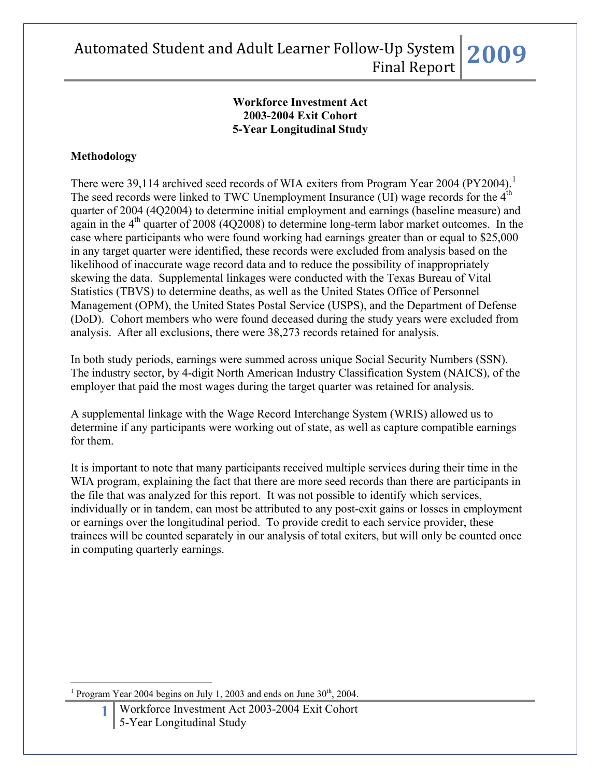### **Workforce Investment Act 2003-2004 Exit Cohort 5-Year Longitudinal Study**

### **Methodology**

There were 39,[1](#page-0-0)14 archived seed records of WIA exiters from Program Year 2004 (PY2004).<sup>1</sup> The seed records were linked to TWC Unemployment Insurance (UI) wage records for the  $4<sup>th</sup>$ quarter of 2004 (4Q2004) to determine initial employment and earnings (baseline measure) and again in the  $4<sup>th</sup>$  quarter of 2008 (4O2008) to determine long-term labor market outcomes. In the case where participants who were found working had earnings greater than or equal to \$25,000 in any target quarter were identified, these records were excluded from analysis based on the likelihood of inaccurate wage record data and to reduce the possibility of inappropriately skewing the data. Supplemental linkages were conducted with the Texas Bureau of Vital Statistics (TBVS) to determine deaths, as well as the United States Office of Personnel Management (OPM), the United States Postal Service (USPS), and the Department of Defense (DoD). Cohort members who were found deceased during the study years were excluded from analysis. After all exclusions, there were 38,273 records retained for analysis.

In both study periods, earnings were summed across unique Social Security Numbers (SSN). The industry sector, by 4-digit North American Industry Classification System (NAICS), of the employer that paid the most wages during the target quarter was retained for analysis.

A supplemental linkage with the Wage Record Interchange System (WRIS) allowed us to determine if any participants were working out of state, as well as capture compatible earnings for them.

It is important to note that many participants received multiple services during their time in the WIA program, explaining the fact that there are more seed records than there are participants in the file that was analyzed for this report. It was not possible to identify which services, individually or in tandem, can most be attributed to any post-exit gains or losses in employment or earnings over the longitudinal period. To provide credit to each service provider, these trainees will be counted separately in our analysis of total exiters, but will only be counted once in computing quarterly earnings.

<span id="page-0-0"></span> $\overline{a}$ 1 Program Year 2004 begins on July 1, 2003 and ends on June  $30<sup>th</sup>$ , 2004.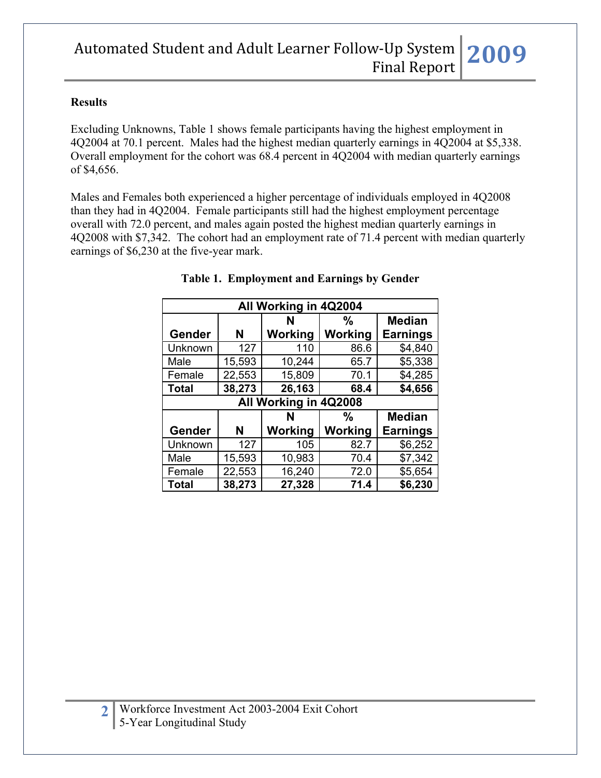#### **Results**

Excluding Unknowns, Table 1 shows female participants having the highest employment in 4Q2004 at 70.1 percent. Males had the highest median quarterly earnings in 4Q2004 at \$5,338. Overall employment for the cohort was 68.4 percent in 4Q2004 with median quarterly earnings of \$4,656.

Males and Females both experienced a higher percentage of individuals employed in 4Q2008 than they had in 4Q2004. Female participants still had the highest employment percentage overall with 72.0 percent, and males again posted the highest median quarterly earnings in 4Q2008 with \$7,342. The cohort had an employment rate of 71.4 percent with median quarterly earnings of \$6,230 at the five-year mark.

| All Working in 4Q2004 |        |         |         |                 |  |  |
|-----------------------|--------|---------|---------|-----------------|--|--|
|                       |        | N       | %       | <b>Median</b>   |  |  |
| Gender                | N      | Working | Working | <b>Earnings</b> |  |  |
| Unknown               | 127    | 110     | 86.6    | \$4,840         |  |  |
| Male                  | 15,593 | 10,244  | 65.7    | \$5,338         |  |  |
| Female                | 22,553 | 15,809  | 70.1    | \$4,285         |  |  |
| <b>Total</b>          | 38,273 | 26,163  | 68.4    | \$4,656         |  |  |
| All Working in 4Q2008 |        |         |         |                 |  |  |
|                       |        |         |         |                 |  |  |
|                       |        | N       | %       | <b>Median</b>   |  |  |
| Gender                | N      | Working | Working | <b>Earnings</b> |  |  |
| Unknown               | 127    | 105     | 82.7    | \$6,252         |  |  |
| Male                  | 15,593 | 10,983  | 70.4    | \$7,342         |  |  |
| Female                | 22,553 | 16,240  | 72.0    | \$5,654         |  |  |

### **Table 1. Employment and Earnings by Gender**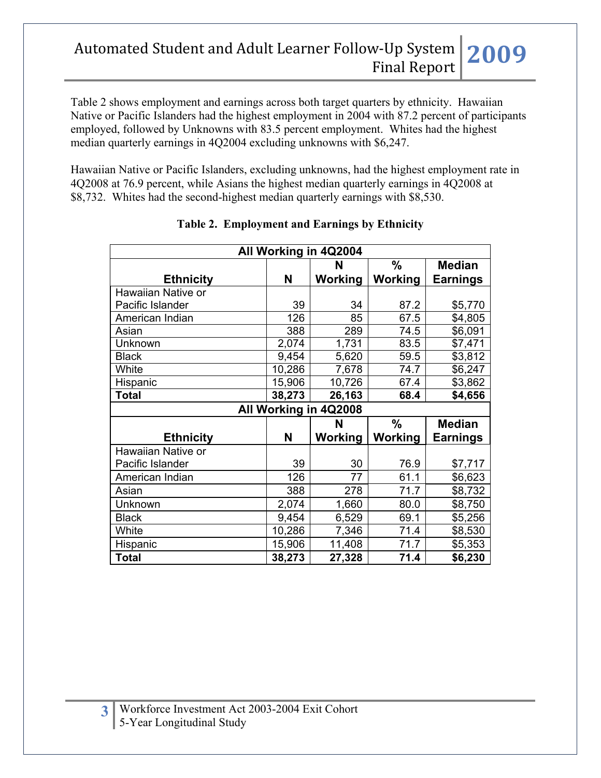Table 2 shows employment and earnings across both target quarters by ethnicity. Hawaiian Native or Pacific Islanders had the highest employment in 2004 with 87.2 percent of participants employed, followed by Unknowns with 83.5 percent employment. Whites had the highest median quarterly earnings in 4Q2004 excluding unknowns with \$6,247.

Hawaiian Native or Pacific Islanders, excluding unknowns, had the highest employment rate in 4Q2008 at 76.9 percent, while Asians the highest median quarterly earnings in 4Q2008 at \$8,732. Whites had the second-highest median quarterly earnings with \$8,530.

| All Working in 4Q2004 |        |         |               |                 |  |  |  |
|-----------------------|--------|---------|---------------|-----------------|--|--|--|
|                       |        | N       | $\frac{0}{0}$ | <b>Median</b>   |  |  |  |
| <b>Ethnicity</b>      | N      | Working | Working       | <b>Earnings</b> |  |  |  |
| Hawaiian Native or    |        |         |               |                 |  |  |  |
| Pacific Islander      | 39     | 34      | 87.2          | \$5,770         |  |  |  |
| American Indian       | 126    | 85      | 67.5          | \$4,805         |  |  |  |
| Asian                 | 388    | 289     | 74.5          | \$6,091         |  |  |  |
| Unknown               | 2,074  | 1,731   | 83.5          | \$7,471         |  |  |  |
| <b>Black</b>          | 9,454  | 5,620   | 59.5          | \$3,812         |  |  |  |
| White                 | 10,286 | 7,678   | 74.7          | \$6,247         |  |  |  |
| Hispanic              | 15,906 | 10,726  | 67.4          | \$3,862         |  |  |  |
| <b>Total</b>          | 38,273 | 26,163  | 68.4          | \$4,656         |  |  |  |
| All Working in 4Q2008 |        |         |               |                 |  |  |  |
|                       |        | N       | $\frac{0}{0}$ | <b>Median</b>   |  |  |  |
| <b>Ethnicity</b>      | N      | Working | Working       | Earnings        |  |  |  |
| Hawaiian Native or    |        |         |               |                 |  |  |  |
| Pacific Islander      | 39     | 30      | 76.9          | \$7,717         |  |  |  |
|                       |        |         |               |                 |  |  |  |
| American Indian       | 126    | 77      | 61.1          | \$6,623         |  |  |  |
| Asian                 | 388    | 278     | 71.7          | \$8,732         |  |  |  |
| Unknown               | 2,074  | 1,660   | 80.0          | \$8,750         |  |  |  |
| <b>Black</b>          | 9,454  | 6,529   | 69.1          | \$5,256         |  |  |  |
| White                 | 10,286 | 7,346   | 71.4          | \$8,530         |  |  |  |
| Hispanic              | 15,906 | 11,408  | 71.7          | \$5,353         |  |  |  |

### **Table 2. Employment and Earnings by Ethnicity**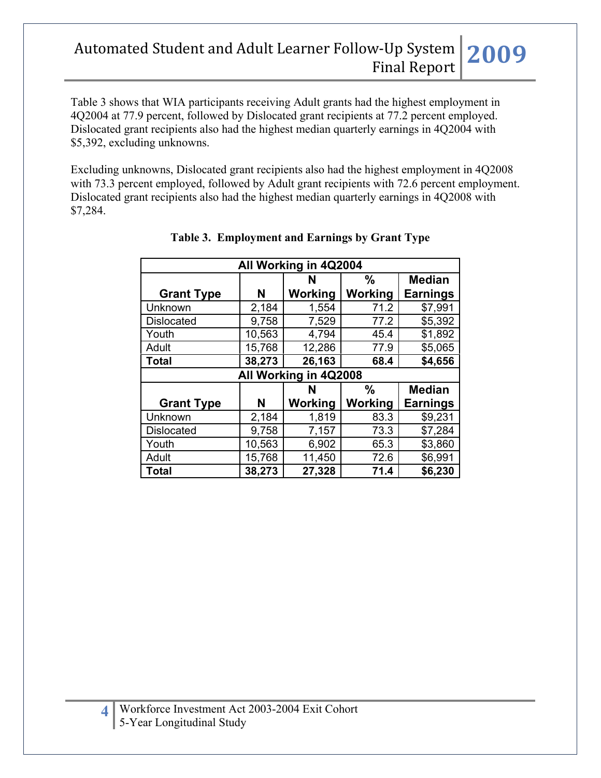Table 3 shows that WIA participants receiving Adult grants had the highest employment in 4Q2004 at 77.9 percent, followed by Dislocated grant recipients at 77.2 percent employed. Dislocated grant recipients also had the highest median quarterly earnings in 4Q2004 with \$5,392, excluding unknowns.

Excluding unknowns, Dislocated grant recipients also had the highest employment in 4Q2008 with 73.3 percent employed, followed by Adult grant recipients with 72.6 percent employment. Dislocated grant recipients also had the highest median quarterly earnings in 4Q2008 with \$7,284.

| All Working in 4Q2004 |                                     |                |                |                 |  |  |  |  |
|-----------------------|-------------------------------------|----------------|----------------|-----------------|--|--|--|--|
|                       | $\frac{0}{0}$<br><b>Median</b><br>N |                |                |                 |  |  |  |  |
| <b>Grant Type</b>     | N                                   | <b>Working</b> | Working        | <b>Earnings</b> |  |  |  |  |
| Unknown               | 2,184                               | 1,554          | 71.2           | \$7,991         |  |  |  |  |
| <b>Dislocated</b>     | 9,758                               | 7,529          | 77.2           | \$5,392         |  |  |  |  |
| Youth                 | 10,563                              | 4,794          | 45.4           | \$1,892         |  |  |  |  |
| Adult                 | 15,768                              | 12,286         | 77.9           | \$5,065         |  |  |  |  |
| <b>Total</b>          | 38,273                              | 26,163         | 68.4           | \$4,656         |  |  |  |  |
| All Working in 4Q2008 |                                     |                |                |                 |  |  |  |  |
|                       |                                     |                |                |                 |  |  |  |  |
|                       |                                     | N              | $\frac{0}{0}$  | <b>Median</b>   |  |  |  |  |
| <b>Grant Type</b>     | N                                   | Working        | <b>Working</b> | <b>Earnings</b> |  |  |  |  |
| Unknown               | 2,184                               | 1,819          | 83.3           | \$9,231         |  |  |  |  |
| <b>Dislocated</b>     | 9,758                               | 7,157          | 73.3           | \$7,284         |  |  |  |  |
| Youth                 | 10,563                              | 6,902          | 65.3           | \$3,860         |  |  |  |  |
| Adult                 | 15,768                              | 11,450         | 72.6           | \$6,991         |  |  |  |  |

### **Table 3. Employment and Earnings by Grant Type**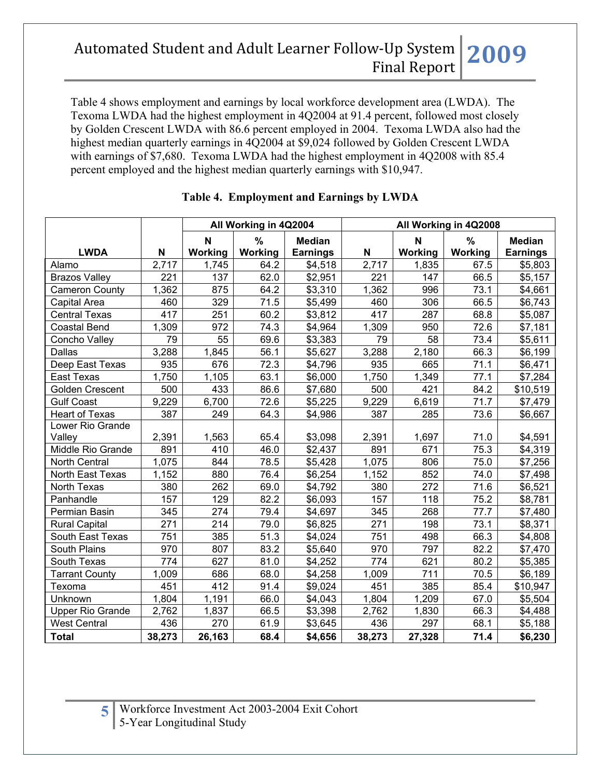Table 4 shows employment and earnings by local workforce development area (LWDA). The Texoma LWDA had the highest employment in 4Q2004 at 91.4 percent, followed most closely by Golden Crescent LWDA with 86.6 percent employed in 2004. Texoma LWDA also had the highest median quarterly earnings in 4Q2004 at \$9,024 followed by Golden Crescent LWDA with earnings of \$7,680. Texoma LWDA had the highest employment in 4Q2008 with 85.4 percent employed and the highest median quarterly earnings with \$10,947.

|                         |                           | All Working in 4Q2004 |         |                 | All Working in 4Q2008 |             |         |                 |
|-------------------------|---------------------------|-----------------------|---------|-----------------|-----------------------|-------------|---------|-----------------|
|                         |                           | N                     | $\%$    | <b>Median</b>   |                       | $\mathbf N$ | %       | <b>Median</b>   |
| <b>LWDA</b>             | $\boldsymbol{\mathsf{N}}$ | Working               | Working | <b>Earnings</b> | N                     | Working     | Working | <b>Earnings</b> |
| Alamo                   | 2,717                     | 1,745                 | 64.2    | \$4,518         | 2,717                 | 1,835       | 67.5    | \$5,803         |
| <b>Brazos Valley</b>    | 221                       | 137                   | 62.0    | \$2,951         | 221                   | 147         | 66.5    | \$5,157         |
| <b>Cameron County</b>   | 1,362                     | 875                   | 64.2    | \$3,310         | 1,362                 | 996         | 73.1    | \$4,661         |
| Capital Area            | 460                       | 329                   | 71.5    | \$5,499         | 460                   | 306         | 66.5    | \$6,743         |
| <b>Central Texas</b>    | 417                       | 251                   | 60.2    | \$3,812         | 417                   | 287         | 68.8    | \$5,087         |
| <b>Coastal Bend</b>     | 1,309                     | 972                   | 74.3    | \$4,964         | 1,309                 | 950         | 72.6    | \$7,181         |
| Concho Valley           | 79                        | 55                    | 69.6    | \$3,383         | 79                    | 58          | 73.4    | \$5,611         |
| Dallas                  | 3,288                     | 1,845                 | 56.1    | \$5,627         | 3,288                 | 2,180       | 66.3    | \$6,199         |
| Deep East Texas         | 935                       | 676                   | 72.3    | \$4,796         | 935                   | 665         | 71.1    | \$6,471         |
| East Texas              | 1,750                     | 1,105                 | 63.1    | \$6,000         | 1,750                 | 1,349       | 77.1    | \$7,284         |
| <b>Golden Crescent</b>  | 500                       | 433                   | 86.6    | \$7,680         | 500                   | 421         | 84.2    | \$10,519        |
| <b>Gulf Coast</b>       | 9,229                     | 6,700                 | 72.6    | \$5,225         | 9,229                 | 6,619       | 71.7    | \$7,479         |
| <b>Heart of Texas</b>   | 387                       | 249                   | 64.3    | \$4,986         | 387                   | 285         | 73.6    | \$6,667         |
| Lower Rio Grande        |                           |                       |         |                 |                       |             |         |                 |
| Valley                  | 2,391                     | 1,563                 | 65.4    | \$3,098         | 2,391                 | 1,697       | 71.0    | \$4,591         |
| Middle Rio Grande       | 891                       | 410                   | 46.0    | \$2,437         | 891                   | 671         | 75.3    | \$4,319         |
| North Central           | 1,075                     | 844                   | 78.5    | \$5,428         | 1,075                 | 806         | 75.0    | \$7,256         |
| North East Texas        | 1,152                     | 880                   | 76.4    | \$6,254         | 1,152                 | 852         | 74.0    | \$7,498         |
| North Texas             | 380                       | 262                   | 69.0    | \$4,792         | 380                   | 272         | 71.6    | \$6,521         |
| Panhandle               | 157                       | 129                   | 82.2    | \$6,093         | 157                   | 118         | 75.2    | \$8,781         |
| Permian Basin           | 345                       | 274                   | 79.4    | \$4,697         | 345                   | 268         | 77.7    | \$7,480         |
| <b>Rural Capital</b>    | 271                       | 214                   | 79.0    | \$6,825         | 271                   | 198         | 73.1    | \$8,371         |
| South East Texas        | 751                       | 385                   | 51.3    | \$4,024         | 751                   | 498         | 66.3    | \$4,808         |
| South Plains            | 970                       | 807                   | 83.2    | \$5,640         | 970                   | 797         | 82.2    | \$7,470         |
| South Texas             | 774                       | 627                   | 81.0    | \$4,252         | 774                   | 621         | 80.2    | \$5,385         |
| <b>Tarrant County</b>   | 1,009                     | 686                   | 68.0    | \$4,258         | 1,009                 | 711         | 70.5    | \$6,189         |
| Texoma                  | 451                       | 412                   | 91.4    | \$9,024         | 451                   | 385         | 85.4    | \$10,947        |
| Unknown                 | 1,804                     | 1,191                 | 66.0    | \$4,043         | 1,804                 | 1,209       | 67.0    | \$5,504         |
| <b>Upper Rio Grande</b> | 2,762                     | 1,837                 | 66.5    | \$3,398         | 2,762                 | 1,830       | 66.3    | \$4,488         |
| <b>West Central</b>     | 436                       | 270                   | 61.9    | \$3,645         | 436                   | 297         | 68.1    | \$5,188         |
| <b>Total</b>            | 38,273                    | 26,163                | 68.4    | \$4,656         | 38,273                | 27,328      | 71.4    | \$6,230         |

### **Table 4. Employment and Earnings by LWDA**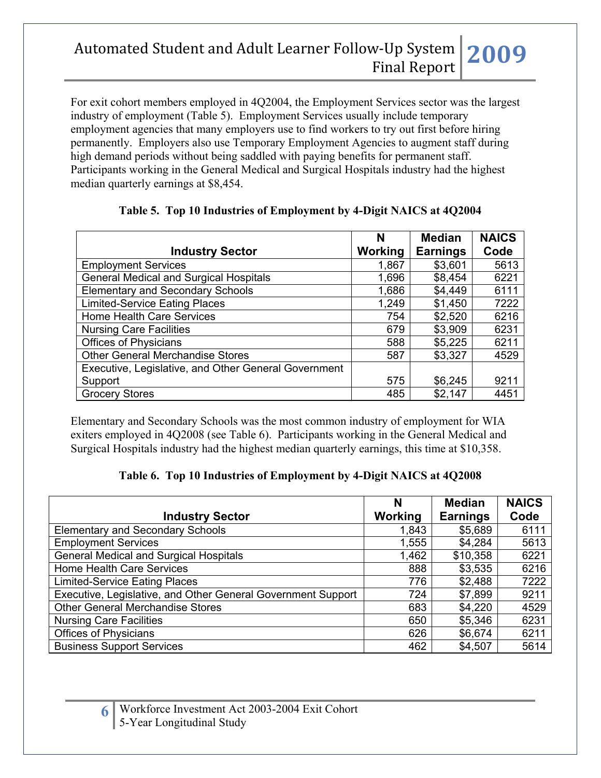For exit cohort members employed in 4Q2004, the Employment Services sector was the largest industry of employment (Table 5). Employment Services usually include temporary employment agencies that many employers use to find workers to try out first before hiring permanently. Employers also use Temporary Employment Agencies to augment staff during high demand periods without being saddled with paying benefits for permanent staff. Participants working in the General Medical and Surgical Hospitals industry had the highest median quarterly earnings at \$8,454.

|                                                      | N       | <b>Median</b>   | <b>NAICS</b> |
|------------------------------------------------------|---------|-----------------|--------------|
| <b>Industry Sector</b>                               | Working | <b>Earnings</b> | Code         |
| <b>Employment Services</b>                           | 1,867   | \$3,601         | 5613         |
| <b>General Medical and Surgical Hospitals</b>        | 1,696   | \$8,454         | 6221         |
| <b>Elementary and Secondary Schools</b>              | 1,686   | \$4,449         | 6111         |
| <b>Limited-Service Eating Places</b>                 | 1,249   | \$1,450         | 7222         |
| Home Health Care Services                            | 754     | \$2,520         | 6216         |
| <b>Nursing Care Facilities</b>                       | 679     | \$3,909         | 6231         |
| <b>Offices of Physicians</b>                         | 588     | \$5,225         | 6211         |
| <b>Other General Merchandise Stores</b>              | 587     | \$3,327         | 4529         |
| Executive, Legislative, and Other General Government |         |                 |              |
| Support                                              | 575     | \$6,245         | 9211         |
| <b>Grocery Stores</b>                                | 485     | \$2,147         | 4451         |

### **Table 5. Top 10 Industries of Employment by 4-Digit NAICS at 4Q2004**

Elementary and Secondary Schools was the most common industry of employment for WIA exiters employed in 4Q2008 (see Table 6). Participants working in the General Medical and Surgical Hospitals industry had the highest median quarterly earnings, this time at \$10,358.

#### **Table 6. Top 10 Industries of Employment by 4-Digit NAICS at 4Q2008**

|                                                              | N       | <b>Median</b>   | <b>NAICS</b> |
|--------------------------------------------------------------|---------|-----------------|--------------|
| <b>Industry Sector</b>                                       | Working | <b>Earnings</b> | Code         |
| <b>Elementary and Secondary Schools</b>                      | 1,843   | \$5,689         | 6111         |
| <b>Employment Services</b>                                   | 1,555   | \$4,284         | 5613         |
| <b>General Medical and Surgical Hospitals</b>                | 1,462   | \$10,358        | 6221         |
| Home Health Care Services                                    | 888     | \$3,535         | 6216         |
| <b>Limited-Service Eating Places</b>                         | 776     | \$2,488         | 7222         |
| Executive, Legislative, and Other General Government Support | 724     | \$7,899         | 9211         |
| <b>Other General Merchandise Stores</b>                      | 683     | \$4,220         | 4529         |
| <b>Nursing Care Facilities</b>                               | 650     | \$5,346         | 6231         |
| <b>Offices of Physicians</b>                                 | 626     | \$6,674         | 6211         |
| <b>Business Support Services</b>                             | 462     | \$4,507         | 5614         |